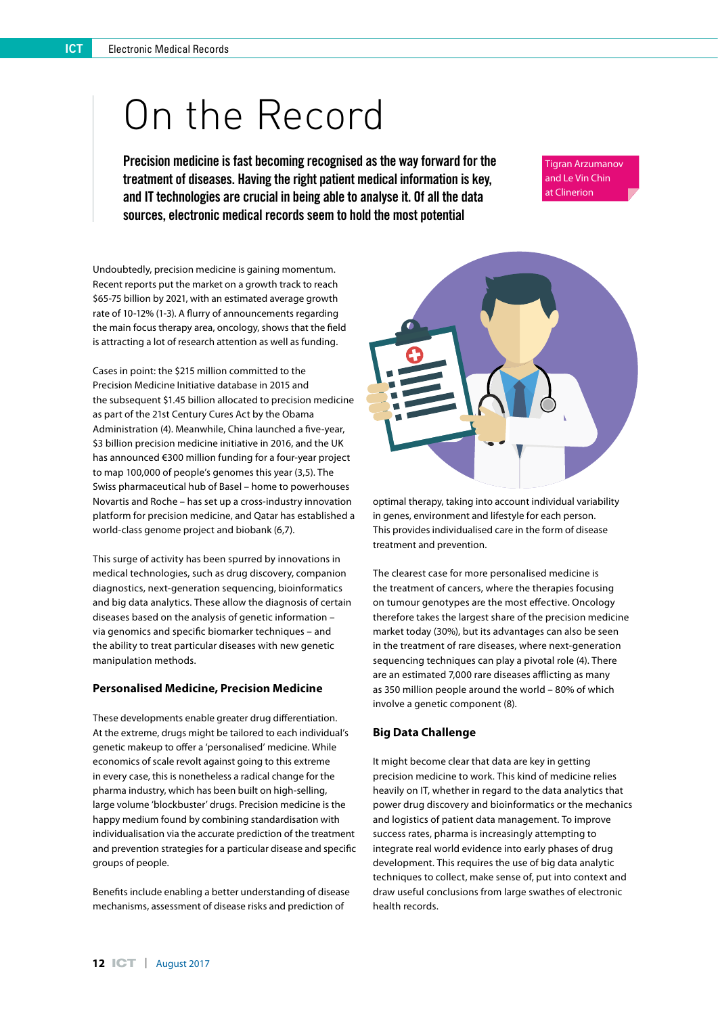# On the Record

Precision medicine is fast becoming recognised as the way forward for the treatment of diseases. Having the right patient medical information is key, and IT technologies are crucial in being able to analyse it. Of all the data sources, electronic medical records seem to hold the most potential

Tigran Arzumanov and Le Vin Chin at Clinerion

Undoubtedly, precision medicine is gaining momentum. Recent reports put the market on a growth track to reach \$65-75 billion by 2021, with an estimated average growth rate of 10-12% (1-3). A flurry of announcements regarding the main focus therapy area, oncology, shows that the field is attracting a lot of research attention as well as funding.

Cases in point: the \$215 million committed to the Precision Medicine Initiative database in 2015 and the subsequent \$1.45 billion allocated to precision medicine as part of the 21st Century Cures Act by the Obama Administration (4). Meanwhile, China launched a five-year, \$3 billion precision medicine initiative in 2016, and the UK has announced €300 million funding for a four-year project to map 100,000 of people's genomes this year (3,5). The Swiss pharmaceutical hub of Basel – home to powerhouses Novartis and Roche – has set up a cross-industry innovation platform for precision medicine, and Qatar has established a world-class genome project and biobank (6,7).

This surge of activity has been spurred by innovations in medical technologies, such as drug discovery, companion diagnostics, next-generation sequencing, bioinformatics and big data analytics. These allow the diagnosis of certain diseases based on the analysis of genetic information – via genomics and specific biomarker techniques – and the ability to treat particular diseases with new genetic manipulation methods.

## **Personalised Medicine, Precision Medicine**

These developments enable greater drug differentiation. At the extreme, drugs might be tailored to each individual's genetic makeup to offer a 'personalised' medicine. While economics of scale revolt against going to this extreme in every case, this is nonetheless a radical change for the pharma industry, which has been built on high-selling, large volume 'blockbuster' drugs. Precision medicine is the happy medium found by combining standardisation with individualisation via the accurate prediction of the treatment and prevention strategies for a particular disease and specific groups of people.

Benefits include enabling a better understanding of disease mechanisms, assessment of disease risks and prediction of



optimal therapy, taking into account individual variability in genes, environment and lifestyle for each person. This provides individualised care in the form of disease treatment and prevention.

The clearest case for more personalised medicine is the treatment of cancers, where the therapies focusing on tumour genotypes are the most effective. Oncology therefore takes the largest share of the precision medicine market today (30%), but its advantages can also be seen in the treatment of rare diseases, where next-generation sequencing techniques can play a pivotal role (4). There are an estimated 7,000 rare diseases afflicting as many as 350 million people around the world – 80% of which involve a genetic component (8).

## **Big Data Challenge**

It might become clear that data are key in getting precision medicine to work. This kind of medicine relies heavily on IT, whether in regard to the data analytics that power drug discovery and bioinformatics or the mechanics and logistics of patient data management. To improve success rates, pharma is increasingly attempting to integrate real world evidence into early phases of drug development. This requires the use of big data analytic techniques to collect, make sense of, put into context and draw useful conclusions from large swathes of electronic health records.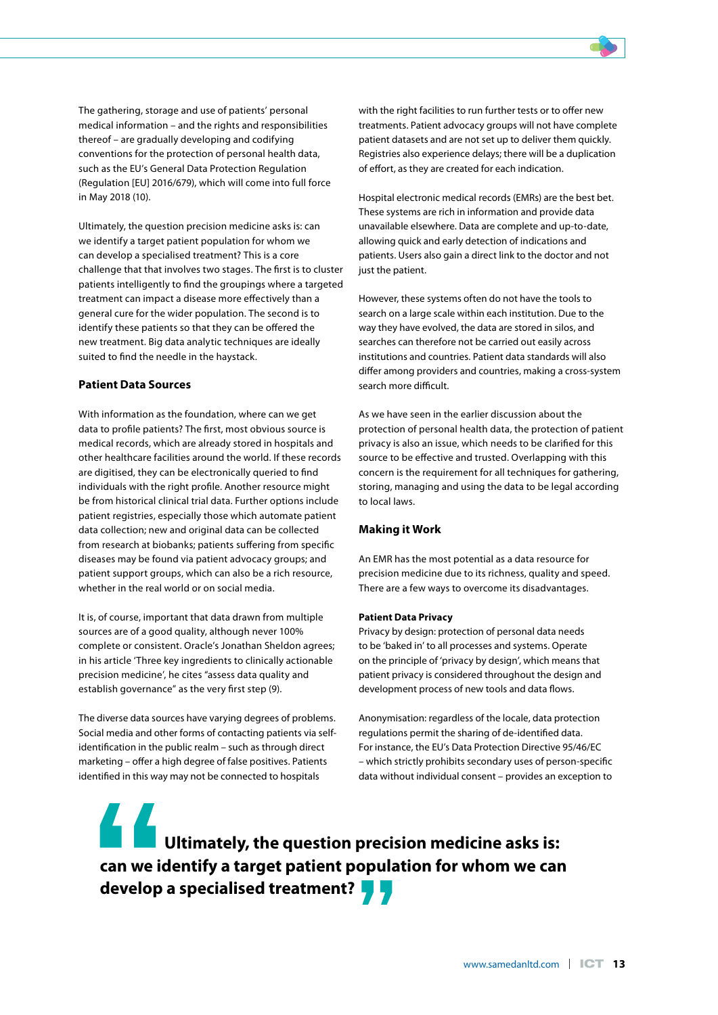The gathering, storage and use of patients' personal medical information – and the rights and responsibilities thereof – are gradually developing and codifying conventions for the protection of personal health data, such as the EU's General Data Protection Regulation (Regulation [EU] 2016/679), which will come into full force in May 2018 (10).

Ultimately, the question precision medicine asks is: can we identify a target patient population for whom we can develop a specialised treatment? This is a core challenge that that involves two stages. The first is to cluster patients intelligently to find the groupings where a targeted treatment can impact a disease more effectively than a general cure for the wider population. The second is to identify these patients so that they can be offered the new treatment. Big data analytic techniques are ideally suited to find the needle in the haystack.

## **Patient Data Sources**

With information as the foundation, where can we get data to profile patients? The first, most obvious source is medical records, which are already stored in hospitals and other healthcare facilities around the world. If these records are digitised, they can be electronically queried to find individuals with the right profile. Another resource might be from historical clinical trial data. Further options include patient registries, especially those which automate patient data collection; new and original data can be collected from research at biobanks; patients suffering from specific diseases may be found via patient advocacy groups; and patient support groups, which can also be a rich resource, whether in the real world or on social media.

It is, of course, important that data drawn from multiple sources are of a good quality, although never 100% complete or consistent. Oracle's Jonathan Sheldon agrees; in his article 'Three key ingredients to clinically actionable precision medicine', he cites "assess data quality and establish governance" as the very first step (9).

The diverse data sources have varying degrees of problems. Social media and other forms of contacting patients via selfidentification in the public realm – such as through direct marketing – offer a high degree of false positives. Patients identified in this way may not be connected to hospitals

with the right facilities to run further tests or to offer new treatments. Patient advocacy groups will not have complete patient datasets and are not set up to deliver them quickly. Registries also experience delays; there will be a duplication of effort, as they are created for each indication.

Hospital electronic medical records (EMRs) are the best bet. These systems are rich in information and provide data unavailable elsewhere. Data are complete and up-to-date, allowing quick and early detection of indications and patients. Users also gain a direct link to the doctor and not just the patient.

However, these systems often do not have the tools to search on a large scale within each institution. Due to the way they have evolved, the data are stored in silos, and searches can therefore not be carried out easily across institutions and countries. Patient data standards will also differ among providers and countries, making a cross-system search more difficult.

As we have seen in the earlier discussion about the protection of personal health data, the protection of patient privacy is also an issue, which needs to be clarified for this source to be effective and trusted. Overlapping with this concern is the requirement for all techniques for gathering, storing, managing and using the data to be legal according to local laws.

#### **Making it Work**

An EMR has the most potential as a data resource for precision medicine due to its richness, quality and speed. There are a few ways to overcome its disadvantages.

## **Patient Data Privacy**

Privacy by design: protection of personal data needs to be 'baked in' to all processes and systems. Operate on the principle of 'privacy by design', which means that patient privacy is considered throughout the design and development process of new tools and data flows.

Anonymisation: regardless of the locale, data protection regulations permit the sharing of de-identified data. For instance, the EU's Data Protection Directive 95/46/EC – which strictly prohibits secondary uses of person-specific data without individual consent – provides an exception to

**EXECUTE: Ultimately, the question precision medicine asks is: can we identify a target patient population for whom we can develop a specialised treatment?**